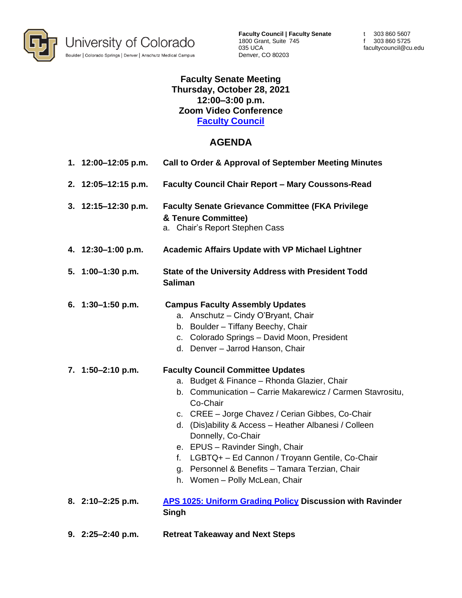

**Faculty Council | Faculty Senate** 1800 Grant, Suite 745 035 UCA Denver, CO 80203

t 303 860 5607 f 303 860 5725 facultycouncil@cu.edu

## **Faculty Senate Meeting Thursday, October 28, 2021 12:00–3:00 p.m. Zoom Video Conference [Faculty Council](https://www.cu.edu/faculty-council)**

## **AGENDA**

| 1. 12:00-12:05 p.m. | <b>Call to Order &amp; Approval of September Meeting Minutes</b>                                                                                                                                                                                                                                                                                                                                                                                                                 |
|---------------------|----------------------------------------------------------------------------------------------------------------------------------------------------------------------------------------------------------------------------------------------------------------------------------------------------------------------------------------------------------------------------------------------------------------------------------------------------------------------------------|
| 2. 12:05-12:15 p.m. | <b>Faculty Council Chair Report - Mary Coussons-Read</b>                                                                                                                                                                                                                                                                                                                                                                                                                         |
| 3. 12:15-12:30 p.m. | <b>Faculty Senate Grievance Committee (FKA Privilege</b><br>& Tenure Committee)<br>a. Chair's Report Stephen Cass                                                                                                                                                                                                                                                                                                                                                                |
| 4. 12:30-1:00 p.m.  | <b>Academic Affairs Update with VP Michael Lightner</b>                                                                                                                                                                                                                                                                                                                                                                                                                          |
| 5. 1:00-1:30 p.m.   | <b>State of the University Address with President Todd</b><br><b>Saliman</b>                                                                                                                                                                                                                                                                                                                                                                                                     |
| 6. 1:30-1:50 p.m.   | <b>Campus Faculty Assembly Updates</b><br>a. Anschutz - Cindy O'Bryant, Chair<br>b. Boulder - Tiffany Beechy, Chair<br>c. Colorado Springs - David Moon, President<br>d. Denver - Jarrod Hanson, Chair                                                                                                                                                                                                                                                                           |
| 7. 1:50-2:10 p.m.   | <b>Faculty Council Committee Updates</b><br>a. Budget & Finance - Rhonda Glazier, Chair<br>b. Communication - Carrie Makarewicz / Carmen Stavrositu,<br>Co-Chair<br>c. CREE - Jorge Chavez / Cerian Gibbes, Co-Chair<br>d. (Dis)ability & Access - Heather Albanesi / Colleen<br>Donnelly, Co-Chair<br>e. EPUS - Ravinder Singh, Chair<br>f. LGBTQ+ - Ed Cannon / Troyann Gentile, Co-Chair<br>g. Personnel & Benefits - Tamara Terzian, Chair<br>h. Women - Polly McLean, Chair |
| 8. 2:10-2:25 p.m.   | <b>APS 1025: Uniform Grading Policy Discussion with Ravinder</b><br>Singh                                                                                                                                                                                                                                                                                                                                                                                                        |
| 9. 2:25-2:40 p.m.   | <b>Retreat Takeaway and Next Steps</b>                                                                                                                                                                                                                                                                                                                                                                                                                                           |